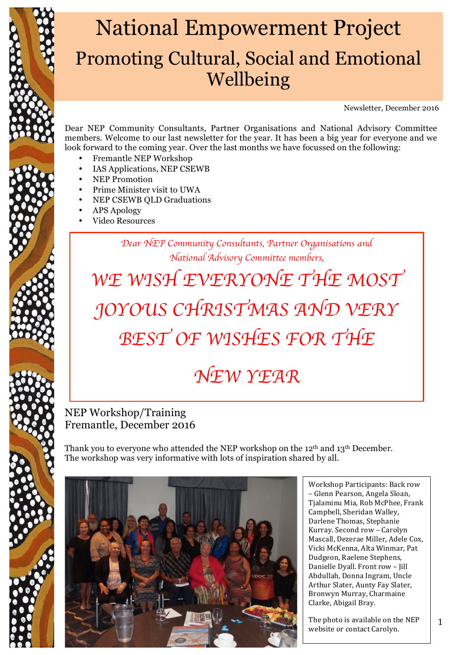

Newsletter, December 2016

Dear NEP Community Consultants, Partner Organisations and National Advisory Committee members. Welcome to our last newsletter for the year. It has been a big year for everyone and we look forward to the coming year. Over the last months we have focussed on the following:

- Fremantle NEP Workshop
- IAS Applications, NEP CSEWB
- NEP Promotion
- Prime Minister visit to UWA
- NEP CSEWB QLD Graduations
- APS Apology
- Video Resources

*Dear NEP Community Consultants, Partner Organisations and National Advisory Committee members,*

*WE WISH EVERYONE THE MOST JOYOUS CHRISTMAS AND VERY BEST OF WISHES FOR THE NEW YEAR*

### NEP Workshop/Training Fremantle, December 2016

Thank you to everyone who attended the NEP workshop on the 12<sup>th</sup> and 13<sup>th</sup> December. The workshop was very informative with lots of inspiration shared by all.

Workshop Participants: Back row – Glenn Pearson, Angela Sloan, Tialaminu Mia, Rob McPhee, Frank Campbell, Sheridan Walley, Darlene Thomas, Stephanie Kurray. Second row - Carolyn Mascall, Dezerae Miller, Adele Cox, Vicki McKenna, Alta Winmar, Pat Dudgeon, Raelene Stephens, Danielle Dyall. Front row - Jill Abdullah, Donna Ingram, Uncle Arthur Slater, Aunty Fay Slater, Bronwyn Murray, Charmaine Clarke, Abigail Bray.

The photo is available on the NEP website or contact Carolyn.

1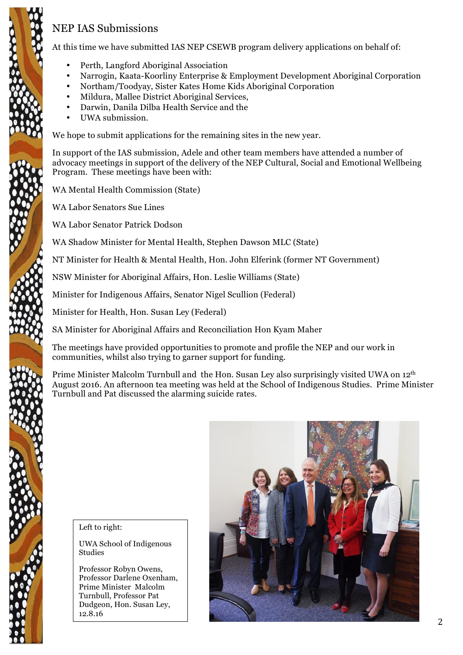## NEP IAS Submissions

At this time we have submitted IAS NEP CSEWB program delivery applications on behalf of:

- Perth, Langford Aboriginal Association
- Narrogin, Kaata-Koorliny Enterprise & Employment Development Aboriginal Corporation
- Northam/Toodyay, Sister Kates Home Kids Aboriginal Corporation
- Mildura, Mallee District Aboriginal Services,
- Darwin, Danila Dilba Health Service and the
- UWA submission.

We hope to submit applications for the remaining sites in the new year.

In support of the IAS submission, Adele and other team members have attended a number of advocacy meetings in support of the delivery of the NEP Cultural, Social and Emotional Wellbeing Program. These meetings have been with:

WA Mental Health Commission (State)

WA Labor Senators Sue Lines

WA Labor Senator Patrick Dodson

WA Shadow Minister for Mental Health, Stephen Dawson MLC (State)

NT Minister for Health & Mental Health, Hon. John Elferink (former NT Government)

NSW Minister for Aboriginal Affairs, Hon. Leslie Williams (State)

Minister for Indigenous Affairs, Senator Nigel Scullion (Federal)

Minister for Health, Hon. Susan Ley (Federal)

SA Minister for Aboriginal Affairs and Reconciliation Hon Kyam Maher

The meetings have provided opportunities to promote and profile the NEP and our work in communities, whilst also trying to garner support for funding.

Prime Minister Malcolm Turnbull and the Hon. Susan Ley also surprisingly visited UWA on 12<sup>th</sup> August 2016. An afternoon tea meeting was held at the School of Indigenous Studies. Prime Minister Turnbull and Pat discussed the alarming suicide rates.

#### Left to right:

UWA School of Indigenous Studies

Professor Robyn Owens, Professor Darlene Oxenham, Prime Minister Malcolm Turnbull, Professor Pat Dudgeon, Hon. Susan Ley, 12.8.16

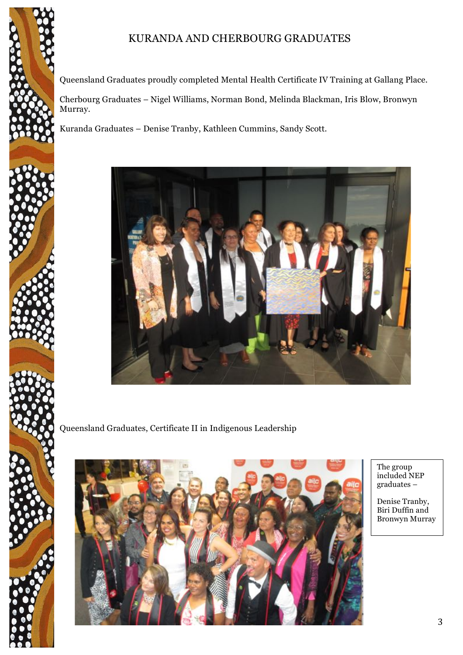

Queensland Graduates proudly completed Mental Health Certificate IV Training at Gallang Place.

Cherbourg Graduates – Nigel Williams, Norman Bond, Melinda Blackman, Iris Blow, Bronwyn Murray.

Kuranda Graduates – Denise Tranby, Kathleen Cummins, Sandy Scott.



Queensland Graduates, Certificate II in Indigenous Leadership



The group included NEP graduates –

Denise Tranby, Biri Duffin and Bronwyn Murray